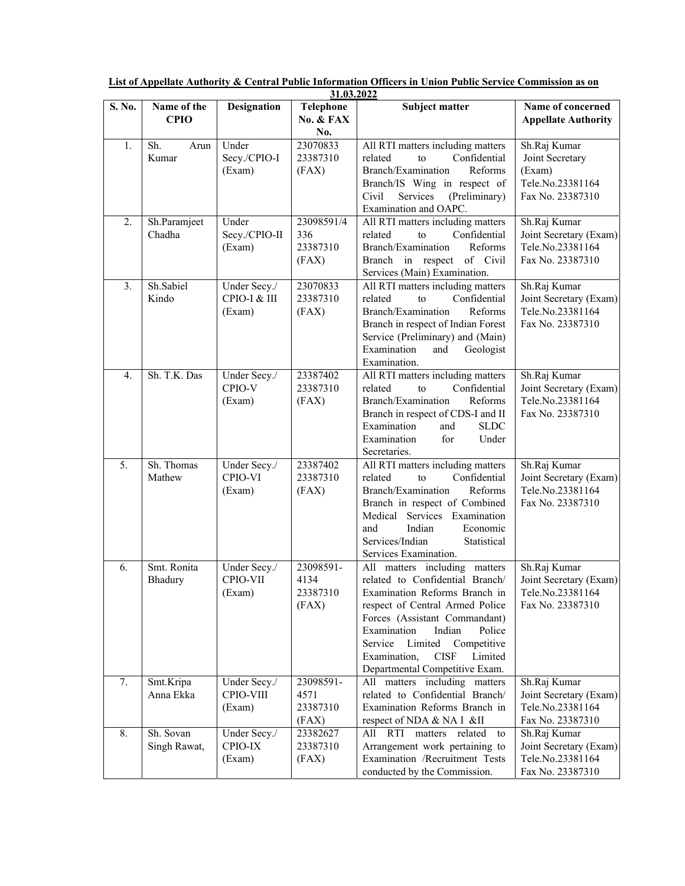| List of Appellate Authority & Central Public Information Officers in Union Public Service Commission as on |  |  |  |  |  |  |
|------------------------------------------------------------------------------------------------------------|--|--|--|--|--|--|
|                                                                                                            |  |  |  |  |  |  |

|        | 31.03.2022                 |                                        |                                        |                                                                                                                                                                                                                                                                                                                        |                                                                                   |  |
|--------|----------------------------|----------------------------------------|----------------------------------------|------------------------------------------------------------------------------------------------------------------------------------------------------------------------------------------------------------------------------------------------------------------------------------------------------------------------|-----------------------------------------------------------------------------------|--|
| S. No. | Name of the<br><b>CPIO</b> | <b>Designation</b>                     | Telephone<br>No. & FAX<br>No.          | <b>Subject matter</b>                                                                                                                                                                                                                                                                                                  | Name of concerned<br><b>Appellate Authority</b>                                   |  |
| 1.     | Sh.<br>Arun<br>Kumar       | Under<br>Secy./CPIO-I<br>(Exam)        | 23070833<br>23387310<br>(FAX)          | All RTI matters including matters<br>Confidential<br>related<br>to<br>Branch/Examination<br>Reforms<br>Branch/IS Wing in respect of<br>Services<br>(Preliminary)<br>Civil<br>Examination and OAPC.                                                                                                                     | Sh.Raj Kumar<br>Joint Secretary<br>(Exam)<br>Tele.No.23381164<br>Fax No. 23387310 |  |
| 2.     | Sh.Paramjeet<br>Chadha     | Under<br>Secy./CPIO-II<br>(Exam)       | 23098591/4<br>336<br>23387310<br>(FAX) | All RTI matters including matters<br>Confidential<br>to<br>related<br>Branch/Examination<br>Reforms<br>Branch in respect of Civil<br>Services (Main) Examination.                                                                                                                                                      | Sh.Raj Kumar<br>Joint Secretary (Exam)<br>Tele.No.23381164<br>Fax No. 23387310    |  |
| 3.     | Sh.Sabiel<br>Kindo         | Under Secy./<br>CPIO-I & III<br>(Exam) | 23070833<br>23387310<br>(FAX)          | All RTI matters including matters<br>Confidential<br>related<br>to<br>Branch/Examination<br>Reforms<br>Branch in respect of Indian Forest<br>Service (Preliminary) and (Main)<br>Examination<br>Geologist<br>and<br>Examination.                                                                                       | Sh.Raj Kumar<br>Joint Secretary (Exam)<br>Tele.No.23381164<br>Fax No. 23387310    |  |
| 4.     | Sh. T.K. Das               | Under Secy./<br>CPIO-V<br>(Exam)       | 23387402<br>23387310<br>(FAX)          | All RTI matters including matters<br>Confidential<br>related<br>to<br>Branch/Examination<br>Reforms<br>Branch in respect of CDS-I and II<br>Examination<br>and<br><b>SLDC</b><br>for<br>Examination<br>Under<br>Secretaries.                                                                                           | Sh.Raj Kumar<br>Joint Secretary (Exam)<br>Tele.No.23381164<br>Fax No. 23387310    |  |
| 5.     | Sh. Thomas<br>Mathew       | Under Secy./<br>CPIO-VI<br>(Exam)      | 23387402<br>23387310<br>(FAX)          | All RTI matters including matters<br>related<br>to<br>Confidential<br>Branch/Examination<br>Reforms<br>Branch in respect of Combined<br>Medical<br>Services Examination<br>Indian<br>Economic<br>and<br>Services/Indian<br>Statistical<br>Services Examination.                                                        | Sh.Raj Kumar<br>Joint Secretary (Exam)<br>Tele.No.23381164<br>Fax No. 23387310    |  |
| 6.     | Smt. Ronita<br>Bhadury     | Under Secy./<br>CPIO-VII<br>(Exam)     | 23098591-<br>4134<br>23387310<br>(FAX) | All matters including matters<br>related to Confidential Branch/<br>Examination Reforms Branch in<br>respect of Central Armed Police<br>Forces (Assistant Commandant)<br>Examination<br>Indian<br>Police<br>Service Limited<br>Competitive<br>Examination,<br><b>CISF</b><br>Limited<br>Departmental Competitive Exam. | Sh.Raj Kumar<br>Joint Secretary (Exam)<br>Tele.No.23381164<br>Fax No. 23387310    |  |
| 7.     | Smt.Kripa<br>Anna Ekka     | Under Secy./<br>CPIO-VIII<br>(Exam)    | 23098591-<br>4571<br>23387310<br>(FAX) | All matters including matters<br>related to Confidential Branch/<br>Examination Reforms Branch in<br>respect of NDA & NA I &II                                                                                                                                                                                         | Sh.Raj Kumar<br>Joint Secretary (Exam)<br>Tele.No.23381164<br>Fax No. 23387310    |  |
| 8.     | Sh. Sovan<br>Singh Rawat,  | Under Secy./<br>CPIO-IX<br>(Exam)      | 23382627<br>23387310<br>(FAX)          | All RTI matters related<br>to<br>Arrangement work pertaining to<br>Examination /Recruitment Tests<br>conducted by the Commission.                                                                                                                                                                                      | Sh.Raj Kumar<br>Joint Secretary (Exam)<br>Tele.No.23381164<br>Fax No. 23387310    |  |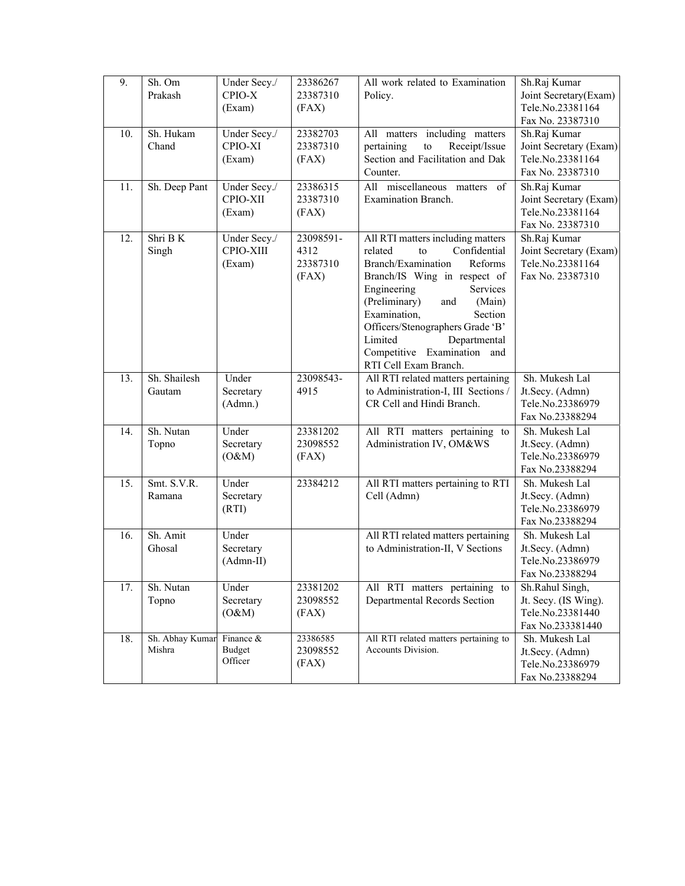| 9.  | Sh. Om          | Under Secy./             | 23386267  | All work related to Examination                                  | Sh.Raj Kumar                        |
|-----|-----------------|--------------------------|-----------|------------------------------------------------------------------|-------------------------------------|
|     | Prakash         | CPIO-X                   | 23387310  | Policy.                                                          | Joint Secretary(Exam)               |
|     |                 | (Exam)                   | (FAX)     |                                                                  | Tele.No.23381164                    |
|     |                 |                          |           |                                                                  | Fax No. 23387310                    |
| 10. | Sh. Hukam       | Under Secy./             | 23382703  | All matters including matters                                    | Sh.Raj Kumar                        |
|     | Chand           | CPIO-XI                  | 23387310  | pertaining<br>${\rm to}$<br>Receipt/Issue                        | Joint Secretary (Exam)              |
|     |                 | (Exam)                   | (FAX)     | Section and Facilitation and Dak                                 | Tele.No.23381164                    |
|     |                 |                          |           | Counter.                                                         | Fax No. 23387310                    |
| 11. | Sh. Deep Pant   | Under Secy./             | 23386315  | All miscellaneous matters of                                     | Sh.Raj Kumar                        |
|     |                 | CPIO-XII                 | 23387310  | Examination Branch.                                              | Joint Secretary (Exam)              |
|     |                 | (Exam)                   | (FAX)     |                                                                  | Tele.No.23381164                    |
|     |                 |                          |           |                                                                  | Fax No. 23387310                    |
| 12. | Shri B K        | Under Secy./             | 23098591- | All RTI matters including matters                                | Sh.Raj Kumar                        |
|     | Singh           | CPIO-XIII                | 4312      | Confidential<br>related<br>to                                    | Joint Secretary (Exam)              |
|     |                 | (Exam)                   | 23387310  | Branch/Examination<br>Reforms                                    | Tele.No.23381164                    |
|     |                 |                          | (FAX)     | Branch/IS Wing in respect of                                     | Fax No. 23387310                    |
|     |                 |                          |           | Services<br>Engineering                                          |                                     |
|     |                 |                          |           | (Preliminary)<br>(Main)<br>and                                   |                                     |
|     |                 |                          |           | Examination,<br>Section                                          |                                     |
|     |                 |                          |           | Officers/Stenographers Grade 'B'                                 |                                     |
|     |                 |                          |           | Departmental<br>Limited                                          |                                     |
|     |                 |                          |           | Competitive Examination and                                      |                                     |
|     |                 |                          |           | RTI Cell Exam Branch.                                            |                                     |
| 13. | Sh. Shailesh    | Under                    | 23098543- | All RTI related matters pertaining                               | Sh. Mukesh Lal                      |
|     | Gautam          | Secretary                | 4915      | to Administration-I, III Sections /<br>CR Cell and Hindi Branch. | Jt.Secy. (Admn)<br>Tele.No.23386979 |
|     |                 | (Admn.)                  |           |                                                                  | Fax No.23388294                     |
| 14. | Sh. Nutan       | Under                    | 23381202  |                                                                  | Sh. Mukesh Lal                      |
|     |                 | Secretary                | 23098552  | All RTI matters pertaining to<br>Administration IV, OM&WS        |                                     |
|     | Topno           | (O&M)                    | (FAX)     |                                                                  | Jt.Secy. (Admn)<br>Tele.No.23386979 |
|     |                 |                          |           |                                                                  | Fax No.23388294                     |
| 15. | Smt. S.V.R.     | Under                    | 23384212  | All RTI matters pertaining to RTI                                | Sh. Mukesh Lal                      |
|     | Ramana          | Secretary                |           | Cell (Admn)                                                      | Jt.Secy. (Admn)                     |
|     |                 | (RTI)                    |           |                                                                  | Tele.No.23386979                    |
|     |                 |                          |           |                                                                  | Fax No.23388294                     |
| 16. | Sh. Amit        | Under                    |           | All RTI related matters pertaining                               | Sh. Mukesh Lal                      |
|     | Ghosal          | Secretary                |           | to Administration-II, V Sections                                 | Jt.Secy. (Admn)                     |
|     |                 | $(Admn-II)$              |           |                                                                  | Tele.No.23386979                    |
|     |                 |                          |           |                                                                  | Fax No.23388294                     |
| 17. | Sh. Nutan       | Under                    | 23381202  | All RTI matters pertaining to                                    | Sh.Rahul Singh,                     |
|     | Topno           | Secretary                | 23098552  | Departmental Records Section                                     | Jt. Secy. (IS Wing).                |
|     |                 | (O&M)                    | (FAX)     |                                                                  | Tele.No.23381440                    |
|     |                 |                          |           |                                                                  | Fax No.233381440                    |
| 18. | Sh. Abhay Kumar | Finance &                | 23386585  | All RTI related matters pertaining to                            | Sh. Mukesh Lal                      |
|     | Mishra          | <b>Budget</b><br>Officer | 23098552  | Accounts Division.                                               | Jt.Secy. (Admn)                     |
|     |                 |                          | (FAX)     |                                                                  | Tele.No.23386979                    |
|     |                 |                          |           |                                                                  | Fax No.23388294                     |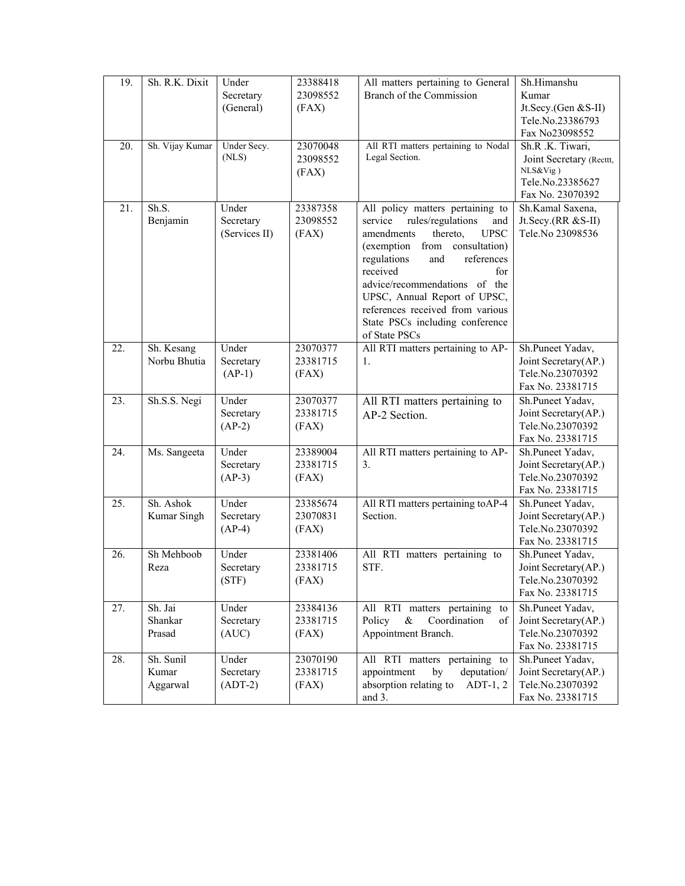| 19. | Sh. R.K. Dixit                 | Under<br>Secretary                  | 23388418<br>23098552          | All matters pertaining to General<br>Branch of the Commission                                                                                                                                                                                                                                                                                                        | Sh.Himanshu<br>Kumar                                                                             |
|-----|--------------------------------|-------------------------------------|-------------------------------|----------------------------------------------------------------------------------------------------------------------------------------------------------------------------------------------------------------------------------------------------------------------------------------------------------------------------------------------------------------------|--------------------------------------------------------------------------------------------------|
|     |                                | (General)                           | (FAX)                         |                                                                                                                                                                                                                                                                                                                                                                      | Jt.Secy.(Gen &S-II)<br>Tele.No.23386793<br>Fax No23098552                                        |
| 20. | Sh. Vijay Kumar                | Under Secy.<br>(NLS)                | 23070048<br>23098552<br>(FAX) | All RTI matters pertaining to Nodal<br>Legal Section.                                                                                                                                                                                                                                                                                                                | Sh.R .K. Tiwari,<br>Joint Secretary (Recttt,<br>NLS&Vig)<br>Tele.No.23385627<br>Fax No. 23070392 |
| 21. | Sh.S.<br>Benjamin              | Under<br>Secretary<br>(Services II) | 23387358<br>23098552<br>(FAX) | All policy matters pertaining to<br>rules/regulations<br>service<br>and<br><b>UPSC</b><br>thereto,<br>amendments<br>from consultation)<br>(exemption<br>regulations<br>references<br>and<br>received<br>for<br>advice/recommendations of the<br>UPSC, Annual Report of UPSC,<br>references received from various<br>State PSCs including conference<br>of State PSCs | Sh.Kamal Saxena,<br>Jt.Secy.(RR &S-II)<br>Tele.No 23098536                                       |
| 22. | Sh. Kesang<br>Norbu Bhutia     | Under<br>Secretary<br>$(AP-1)$      | 23070377<br>23381715<br>(FAX) | All RTI matters pertaining to AP-<br>1.                                                                                                                                                                                                                                                                                                                              | Sh.Puneet Yadav,<br>Joint Secretary(AP.)<br>Tele.No.23070392<br>Fax No. 23381715                 |
| 23. | Sh.S.S. Negi                   | Under<br>Secretary<br>$(AP-2)$      | 23070377<br>23381715<br>(FAX) | All RTI matters pertaining to<br>AP-2 Section.                                                                                                                                                                                                                                                                                                                       | Sh.Puneet Yadav,<br>Joint Secretary(AP.)<br>Tele.No.23070392<br>Fax No. 23381715                 |
| 24. | Ms. Sangeeta                   | Under<br>Secretary<br>$(AP-3)$      | 23389004<br>23381715<br>(FAX) | All RTI matters pertaining to AP-<br>3.                                                                                                                                                                                                                                                                                                                              | Sh.Puneet Yadav,<br>Joint Secretary(AP.)<br>Tele.No.23070392<br>Fax No. 23381715                 |
| 25. | Sh. Ashok<br>Kumar Singh       | Under<br>Secretary<br>$(AP-4)$      | 23385674<br>23070831<br>(FAX) | All RTI matters pertaining toAP-4<br>Section.                                                                                                                                                                                                                                                                                                                        | Sh.Puneet Yadav,<br>Joint Secretary(AP.)<br>Tele.No.23070392<br>Fax No. 23381715                 |
| 26. | Sh Mehboob<br>Reza             | Under<br>Secretary<br>(STF)         | 23381406<br>23381715<br>(FAX) | All RTI matters pertaining to<br>STF.                                                                                                                                                                                                                                                                                                                                | Sh.Puneet Yadav,<br>Joint Secretary(AP.)<br>Tele.No.23070392<br>Fax No. 23381715                 |
| 27. | Sh. Jai<br>Shankar<br>Prasad   | Under<br>Secretary<br>(AUC)         | 23384136<br>23381715<br>(FAX) | All RTI matters pertaining<br>to<br>Policy<br>&<br>Coordination<br>of<br>Appointment Branch.                                                                                                                                                                                                                                                                         | Sh.Puneet Yadav,<br>Joint Secretary(AP.)<br>Tele.No.23070392<br>Fax No. 23381715                 |
| 28. | Sh. Sunil<br>Kumar<br>Aggarwal | Under<br>Secretary<br>$(ADT-2)$     | 23070190<br>23381715<br>(FAX) | All RTI matters pertaining to<br>appointment<br>by<br>deputation/<br>absorption relating to<br>$ADT-1, 2$<br>and 3.                                                                                                                                                                                                                                                  | Sh.Puneet Yadav,<br>Joint Secretary(AP.)<br>Tele.No.23070392<br>Fax No. 23381715                 |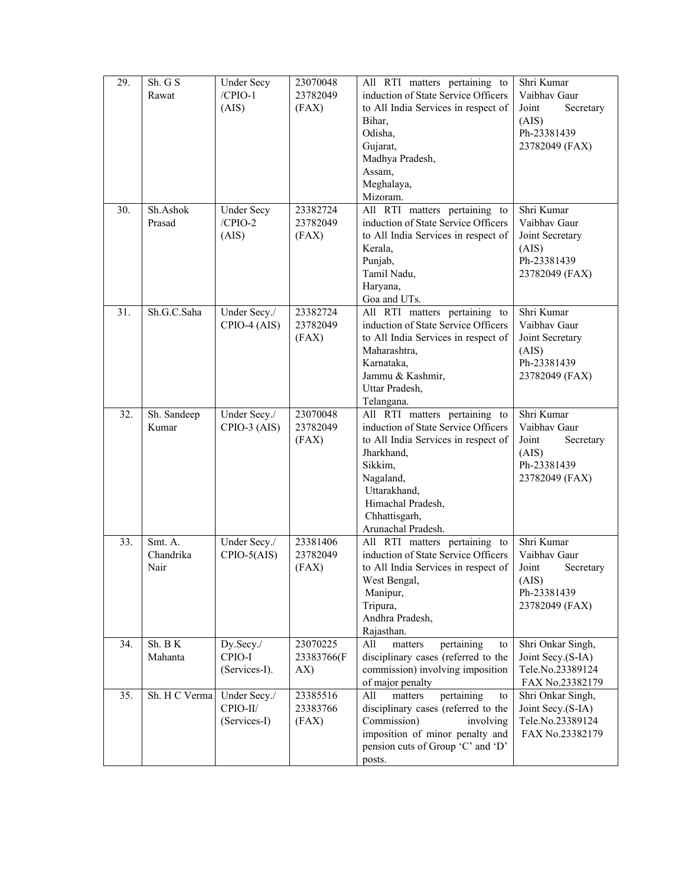| 29. | Sh. G S<br>Rawat             | <b>Under Secy</b><br>$/CPIO-1$<br>(AIS)  | 23070048<br>23782049<br>(FAX) | All RTI matters pertaining to<br>induction of State Service Officers<br>to All India Services in respect of<br>Bihar,<br>Odisha,<br>Gujarat,<br>Madhya Pradesh,<br>Assam,<br>Meghalaya,<br>Mizoram.                           | Shri Kumar<br>Vaibhav Gaur<br>Joint<br>Secretary<br>(AIS)<br>Ph-23381439<br>23782049 (FAX) |
|-----|------------------------------|------------------------------------------|-------------------------------|-------------------------------------------------------------------------------------------------------------------------------------------------------------------------------------------------------------------------------|--------------------------------------------------------------------------------------------|
| 30. | Sh.Ashok<br>Prasad           | <b>Under Secy</b><br>$/CPIO-2$<br>(AIS)  | 23382724<br>23782049<br>(FAX) | All RTI matters pertaining to<br>induction of State Service Officers<br>to All India Services in respect of<br>Kerala,<br>Punjab,<br>Tamil Nadu,<br>Haryana,<br>Goa and UTs.                                                  | Shri Kumar<br>Vaibhay Gaur<br>Joint Secretary<br>(AIS)<br>Ph-23381439<br>23782049 (FAX)    |
| 31. | Sh.G.C.Saha                  | Under Secy./<br>CPIO-4 (AIS)             | 23382724<br>23782049<br>(FAX) | All RTI matters pertaining to<br>induction of State Service Officers<br>to All India Services in respect of<br>Maharashtra,<br>Karnataka,<br>Jammu & Kashmir,<br>Uttar Pradesh,<br>Telangana.                                 | Shri Kumar<br>Vaibhav Gaur<br>Joint Secretary<br>(AIS)<br>Ph-23381439<br>23782049 (FAX)    |
| 32. | Sh. Sandeep<br>Kumar         | Under Secy./<br>$CPIO-3$ (AIS)           | 23070048<br>23782049<br>(FAX) | All RTI matters pertaining to<br>induction of State Service Officers<br>to All India Services in respect of<br>Jharkhand,<br>Sikkim,<br>Nagaland,<br>Uttarakhand,<br>Himachal Pradesh,<br>Chhattisgarh,<br>Arunachal Pradesh. | Shri Kumar<br>Vaibhav Gaur<br>Joint<br>Secretary<br>(AIS)<br>Ph-23381439<br>23782049 (FAX) |
| 33. | Smt. A.<br>Chandrika<br>Nair | Under Secy./<br>$CPIO-5(AIS)$            | 23381406<br>23782049<br>(FAX) | All RTI matters pertaining to<br>induction of State Service Officers<br>to All India Services in respect of<br>West Bengal,<br>Manipur,<br>Tripura,<br>Andhra Pradesh,<br>Rajasthan.                                          | Shri Kumar<br>Vaibhay Gaur<br>Joint<br>Secretary<br>(AIS)<br>Ph-23381439<br>23782049 (FAX) |
| 34. | Sh. B K<br>Mahanta           | Dy.Secy./<br>CPIO-I<br>(Services-I).     | 23070225<br>23383766(F<br>AX) | pertaining<br>All<br>matters<br>to<br>disciplinary cases (referred to the<br>commission) involving imposition<br>of major penalty                                                                                             | Shri Onkar Singh,<br>Joint Secy.(S-IA)<br>Tele.No.23389124<br>FAX No.23382179              |
| 35. | Sh. H C Verma                | Under Secy./<br>CPIO-II/<br>(Services-I) | 23385516<br>23383766<br>(FAX) | pertaining<br>All<br>matters<br>to<br>disciplinary cases (referred to the<br>Commission)<br>involving<br>imposition of minor penalty and<br>pension cuts of Group 'C' and 'D'<br>posts.                                       | Shri Onkar Singh,<br>Joint Secy.(S-IA)<br>Tele.No.23389124<br>FAX No.23382179              |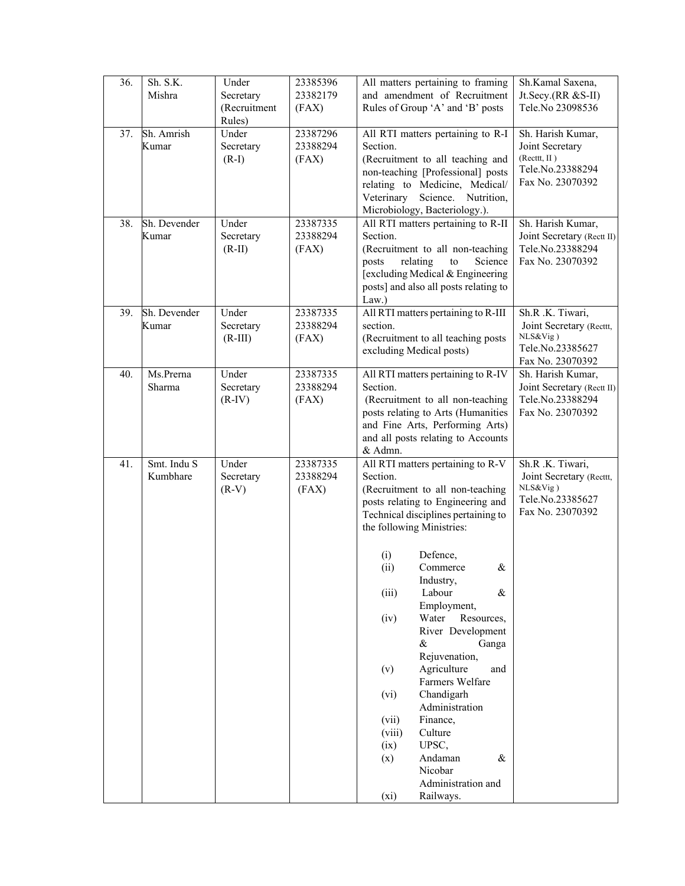| 36. | Sh. S.K.<br>Mishra      | Under<br>Secretary<br>(Recruitment<br>Rules) | 23385396<br>23382179<br>(FAX) | All matters pertaining to framing<br>and amendment of Recruitment<br>Rules of Group 'A' and 'B' posts                                                                                                                                                                                                                                                                                                                                                                                                                                                                                                                  | Sh.Kamal Saxena,<br>Jt.Secy.(RR &S-II)<br>Tele.No 23098536                                      |
|-----|-------------------------|----------------------------------------------|-------------------------------|------------------------------------------------------------------------------------------------------------------------------------------------------------------------------------------------------------------------------------------------------------------------------------------------------------------------------------------------------------------------------------------------------------------------------------------------------------------------------------------------------------------------------------------------------------------------------------------------------------------------|-------------------------------------------------------------------------------------------------|
| 37. | Sh. Amrish<br>Kumar     | Under<br>Secretary<br>$(R-I)$                | 23387296<br>23388294<br>(FAX) | All RTI matters pertaining to R-I<br>Section.<br>(Recruitment to all teaching and<br>non-teaching [Professional] posts<br>relating to Medicine, Medical/<br>Science.<br>Nutrition,<br>Veterinary<br>Microbiology, Bacteriology.).                                                                                                                                                                                                                                                                                                                                                                                      | Sh. Harish Kumar,<br>Joint Secretary<br>(Recttt, II)<br>Tele.No.23388294<br>Fax No. 23070392    |
| 38. | Sh. Devender<br>Kumar   | Under<br>Secretary<br>$(R-II)$               | 23387335<br>23388294<br>(FAX) | All RTI matters pertaining to R-II<br>Section.<br>(Recruitment to all non-teaching<br>relating<br>${\rm to}$<br>Science<br>posts<br>[excluding Medical & Engineering<br>posts] and also all posts relating to<br>Law.)                                                                                                                                                                                                                                                                                                                                                                                                 | Sh. Harish Kumar,<br>Joint Secretary (Rectt II)<br>Tele.No.23388294<br>Fax No. 23070392         |
| 39. | Sh. Devender<br>Kumar   | Under<br>Secretary<br>$(R-III)$              | 23387335<br>23388294<br>(FAX) | All RTI matters pertaining to R-III<br>section.<br>(Recruitment to all teaching posts<br>excluding Medical posts)                                                                                                                                                                                                                                                                                                                                                                                                                                                                                                      | Sh.R.K. Tiwari,<br>Joint Secretary (Recttt,<br>NLS&Vig)<br>Tele.No.23385627<br>Fax No. 23070392 |
| 40. | Ms.Prerna<br>Sharma     | Under<br>Secretary<br>$(R-IV)$               | 23387335<br>23388294<br>(FAX) | All RTI matters pertaining to R-IV<br>Section.<br>(Recruitment to all non-teaching<br>posts relating to Arts (Humanities<br>and Fine Arts, Performing Arts)<br>and all posts relating to Accounts<br>& Admn.                                                                                                                                                                                                                                                                                                                                                                                                           | Sh. Harish Kumar,<br>Joint Secretary (Rectt II)<br>Tele.No.23388294<br>Fax No. 23070392         |
| 41. | Smt. Indu S<br>Kumbhare | Under<br>Secretary<br>$(R-V)$                | 23387335<br>23388294<br>(FAX) | All RTI matters pertaining to R-V<br>Section.<br>(Recruitment to all non-teaching<br>posts relating to Engineering and<br>Technical disciplines pertaining to<br>the following Ministries:<br>Defence,<br>(i)<br>(ii)<br>Commerce<br>&<br>Industry,<br>Labour<br>(iii)<br>$\&$<br>Employment,<br>Resources,<br>(iv)<br>Water<br>River Development<br>$\&$<br>Ganga<br>Rejuvenation,<br>Agriculture<br>(v)<br>and<br>Farmers Welfare<br>Chandigarh<br>(vi)<br>Administration<br>Finance,<br>(vii)<br>Culture<br>(viii)<br>UPSC,<br>(ix)<br>(x)<br>Andaman<br>&<br>Nicobar<br>Administration and<br>Railways.<br>$(x_i)$ | Sh.R.K. Tiwari,<br>Joint Secretary (Recttt,<br>NLS&Vig)<br>Tele.No.23385627<br>Fax No. 23070392 |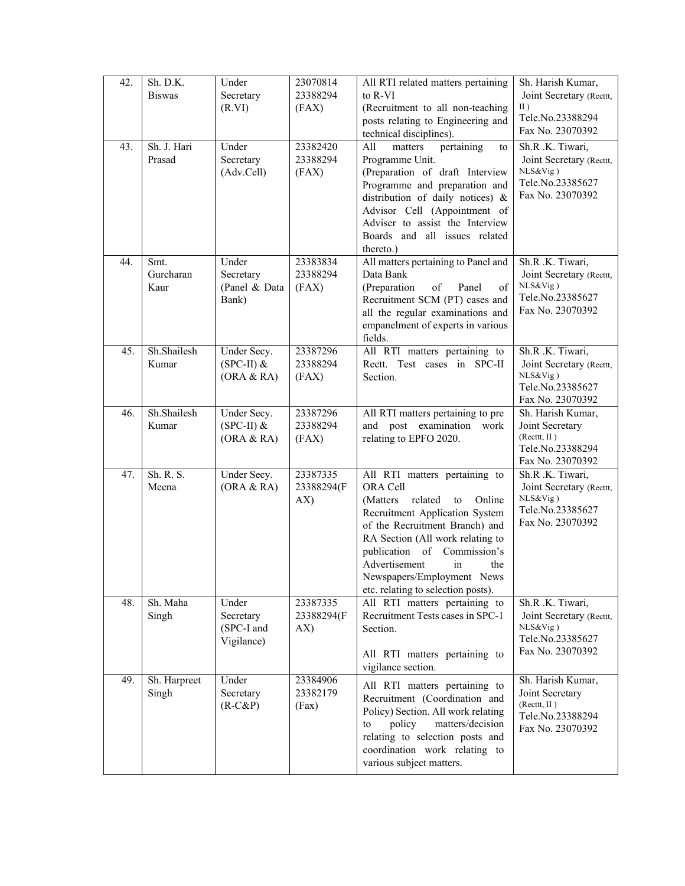| 42. | Sh. D.K.<br><b>Biswas</b> | Under<br>Secretary<br>(R.VI)                   | 23070814<br>23388294<br>(FAX) | All RTI related matters pertaining<br>to R-VI<br>(Recruitment to all non-teaching<br>posts relating to Engineering and<br>technical disciplines).                                                                                                                                                                          | Sh. Harish Kumar,<br>Joint Secretary (Recttt,<br>II)<br>Tele.No.23388294<br>Fax No. 23070392     |
|-----|---------------------------|------------------------------------------------|-------------------------------|----------------------------------------------------------------------------------------------------------------------------------------------------------------------------------------------------------------------------------------------------------------------------------------------------------------------------|--------------------------------------------------------------------------------------------------|
| 43. | Sh. J. Hari<br>Prasad     | Under<br>Secretary<br>(Adv.Cell)               | 23382420<br>23388294<br>(FAX) | pertaining<br>All<br>matters<br>to<br>Programme Unit.<br>(Preparation of draft Interview<br>Programme and preparation and<br>distribution of daily notices) &<br>Advisor Cell (Appointment of<br>Adviser to assist the Interview<br>Boards and all issues related<br>thereto.)                                             | Sh.R.K. Tiwari,<br>Joint Secretary (Recttt,<br>NLS&Vig)<br>Tele.No.23385627<br>Fax No. 23070392  |
| 44. | Smt.<br>Gurcharan<br>Kaur | Under<br>Secretary<br>(Panel & Data<br>Bank)   | 23383834<br>23388294<br>(FAX) | All matters pertaining to Panel and<br>Data Bank<br>(Preparation<br>of<br>Panel<br>of<br>Recruitment SCM (PT) cases and<br>all the regular examinations and<br>empanelment of experts in various<br>fields.                                                                                                                | Sh.R .K. Tiwari,<br>Joint Secretary (Recttt,<br>NLS&Vig)<br>Tele.No.23385627<br>Fax No. 23070392 |
| 45. | Sh.Shailesh<br>Kumar      | Under Secy.<br>$(SPC-II)$ &<br>(ORA & RA)      | 23387296<br>23388294<br>(FAX) | All RTI matters pertaining to<br>Rectt. Test cases in SPC-II<br>Section.                                                                                                                                                                                                                                                   | Sh.R .K. Tiwari,<br>Joint Secretary (Recttt,<br>NLS&Vig)<br>Tele.No.23385627<br>Fax No. 23070392 |
| 46. | Sh.Shailesh<br>Kumar      | Under Secy.<br>$(SPC-II)$ &<br>(ORA & RA)      | 23387296<br>23388294<br>(FAX) | All RTI matters pertaining to pre<br>and post examination work<br>relating to EPFO 2020.                                                                                                                                                                                                                                   | Sh. Harish Kumar,<br>Joint Secretary<br>(Recttt, II)<br>Tele.No.23388294<br>Fax No. 23070392     |
| 47. | Sh. R. S.<br>Meena        | Under Secy.<br>(ORA & RA)                      | 23387335<br>23388294(F<br>AX) | All RTI matters pertaining to<br>ORA Cell<br>related<br>Online<br>(Matters)<br>to<br>Recruitment Application System<br>of the Recruitment Branch) and<br>RA Section (All work relating to<br>publication of Commission's<br>Advertisement<br>in<br>the<br>Newspapers/Employment News<br>etc. relating to selection posts). | Sh.R.K. Tiwari,<br>Joint Secretary (Recttt,<br>NLS&Vig)<br>Tele.No.23385627<br>Fax No. 23070392  |
| 48. | Sh. Maha<br>Singh         | Under<br>Secretary<br>(SPC-I and<br>Vigilance) | 23387335<br>23388294(F<br>AX) | All RTI matters pertaining to<br>Recruitment Tests cases in SPC-1<br>Section.<br>All RTI matters pertaining to<br>vigilance section.                                                                                                                                                                                       | Sh.R.K. Tiwari,<br>Joint Secretary (Recttt,<br>NLS&Vig)<br>Tele.No.23385627<br>Fax No. 23070392  |
| 49. | Sh. Harpreet<br>Singh     | Under<br>Secretary<br>$(R-C\&P)$               | 23384906<br>23382179<br>(Fax) | All RTI matters pertaining to<br>Recruitment (Coordination and<br>Policy) Section. All work relating<br>policy<br>matters/decision<br>to<br>relating to selection posts and<br>coordination work relating to<br>various subject matters.                                                                                   | Sh. Harish Kumar,<br>Joint Secretary<br>(Reetti, II)<br>Tele.No.23388294<br>Fax No. 23070392     |